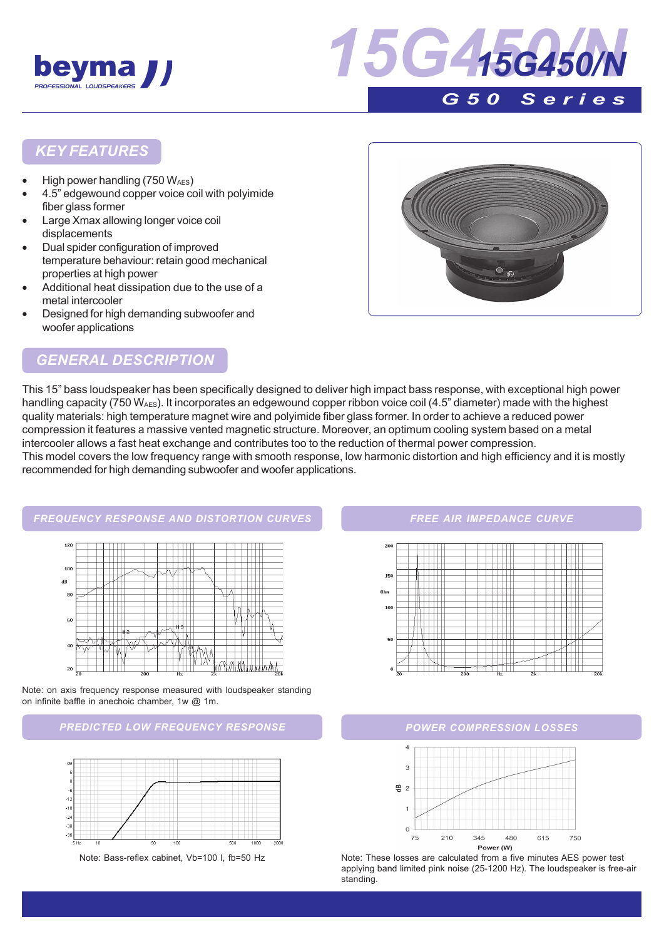



### *KEY FEATURES*

- High power handling  $(750 W_{AES})$
- 4.5" edgewound copper voice coil with polyimide fiber glass former
- Large Xmax allowing longer voice coil displacements
- Dual spider configuration of improved temperature behaviour: retain good mechanical properties at high power
- Additional heat dissipation due to the use of a metal intercooler
- Designed for high demanding subwoofer and woofer applications



### *GENERAL DESCRIPTION*

This 15" bass loudspeaker has been specifically designed to deliver high impact bass response, with exceptional high power handling capacity (750 W<sub>AES</sub>). It incorporates an edgewound copper ribbon voice coil (4.5" diameter) made with the highest quality materials: high temperature magnet wire and polyimide fiber glass former. In order to achieve a reduced power compression it features a massive vented magnetic structure. Moreover, an optimum cooling system based on a metal intercooler allows a fast heat exchange and contributes too to the reduction of thermal power compression. This model covers the low frequency range with smooth response, low harmonic distortion and high efficiency and it is mostly recommended for high demanding subwoofer and woofer applications.



Note: on axis frequency response measured with loudspeaker standing on infinite baffle in anechoic chamber, 1w @ 1m.

#### *PREDICTED LOW FREQUENCY RESPONSE POWER COMPRESSION LOSSES*



#### *FREE AIR IMPEDANCE CURVE*





Note: Bass-reflex cabinet, Vb=100 l, fb=50 Hz Note: These losses are calculated from a five minutes AES power test applying band limited pink noise (25-1200 Hz). The loudspeaker is free-air standing.